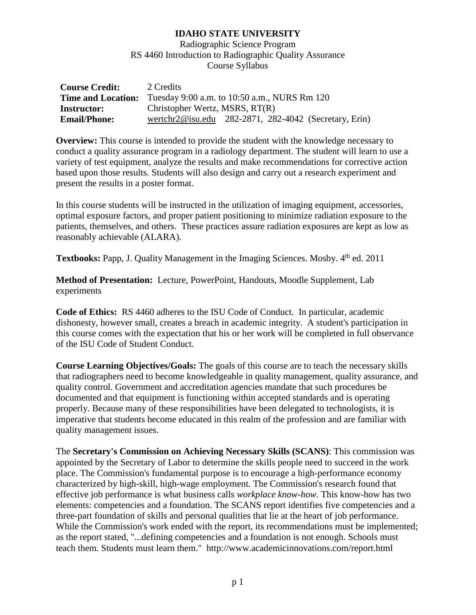Radiographic Science Program RS 4460 Introduction to Radiographic Quality Assurance Course Syllabus

| <b>Course Credit:</b>     | 2 Credits                                             |  |  |
|---------------------------|-------------------------------------------------------|--|--|
| <b>Time and Location:</b> | Tuesday 9:00 a.m. to 10:50 a.m., NURS Rm 120          |  |  |
| Instructor:               | Christopher Wertz, MSRS, RT(R)                        |  |  |
| <b>Email/Phone:</b>       | wertchr2@isu.edu 282-2871, 282-4042 (Secretary, Erin) |  |  |

**Overview:** This course is intended to provide the student with the knowledge necessary to conduct a quality assurance program in a radiology department. The student will learn to use a variety of test equipment, analyze the results and make recommendations for corrective action based upon those results. Students will also design and carry out a research experiment and present the results in a poster format.

In this course students will be instructed in the utilization of imaging equipment, accessories, optimal exposure factors, and proper patient positioning to minimize radiation exposure to the patients, themselves, and others. These practices assure radiation exposures are kept as low as reasonably achievable (ALARA).

**Textbooks:** Papp, J. Quality Management in the Imaging Sciences. Mosby. 4<sup>th</sup> ed. 2011

**Method of Presentation:** Lecture, PowerPoint, Handouts, Moodle Supplement, Lab experiments

**Code of Ethics:** RS 4460 adheres to the ISU Code of Conduct. In particular, academic dishonesty, however small, creates a breach in academic integrity. A student's participation in this course comes with the expectation that his or her work will be completed in full observance of the ISU Code of Student Conduct.

**Course Learning Objectives/Goals:** The goals of this course are to teach the necessary skills that radiographers need to become knowledgeable in quality management, quality assurance, and quality control. Government and accreditation agencies mandate that such procedures be documented and that equipment is functioning within accepted standards and is operating properly. Because many of these responsibilities have been delegated to technologists, it is imperative that students become educated in this realm of the profession and are familiar with quality management issues.

The **Secretary's Commission on Achieving Necessary Skills (SCANS)**: This commission was appointed by the Secretary of Labor to determine the skills people need to succeed in the work place. The Commission's fundamental purpose is to encourage a high-performance economy characterized by high-skill, high-wage employment. The Commission's research found that effective job performance is what business calls *workplace know-how*. This know-how has two elements: competencies and a foundation. The SCANS report identifies five competencies and a three-part foundation of skills and personal qualities that lie at the heart of job performance. While the Commission's work ended with the report, its recommendations must be implemented; as the report stated, "...defining competencies and a foundation is not enough. Schools must teach them. Students must learn them." http://www.academicinnovations.com/report.html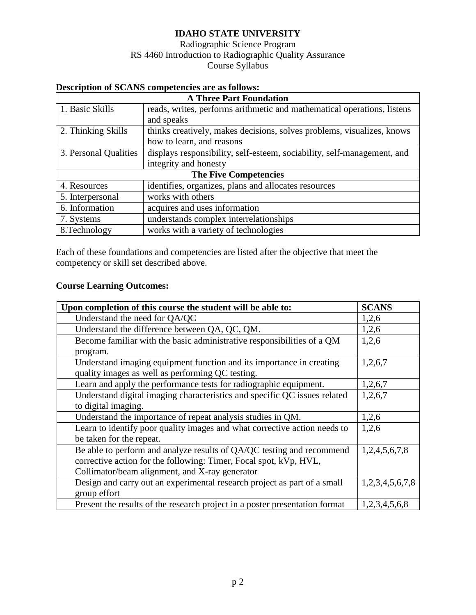### Radiographic Science Program RS 4460 Introduction to Radiographic Quality Assurance Course Syllabus

| <b>Description of SCANS competencies are as follows:</b> |                                                                         |  |  |  |  |
|----------------------------------------------------------|-------------------------------------------------------------------------|--|--|--|--|
| <b>A Three Part Foundation</b>                           |                                                                         |  |  |  |  |
| 1. Basic Skills                                          | reads, writes, performs arithmetic and mathematical operations, listens |  |  |  |  |
|                                                          | and speaks                                                              |  |  |  |  |
| 2. Thinking Skills                                       | thinks creatively, makes decisions, solves problems, visualizes, knows  |  |  |  |  |
|                                                          | how to learn, and reasons                                               |  |  |  |  |
| 3. Personal Qualities                                    | displays responsibility, self-esteem, sociability, self-management, and |  |  |  |  |
|                                                          | integrity and honesty                                                   |  |  |  |  |
| <b>The Five Competencies</b>                             |                                                                         |  |  |  |  |
| 4. Resources                                             | identifies, organizes, plans and allocates resources                    |  |  |  |  |
| 5. Interpersonal                                         | works with others                                                       |  |  |  |  |
| 6. Information                                           | acquires and uses information                                           |  |  |  |  |
| 7. Systems                                               | understands complex interrelationships                                  |  |  |  |  |
| 8. Technology                                            | works with a variety of technologies                                    |  |  |  |  |

Each of these foundations and competencies are listed after the objective that meet the competency or skill set described above.

### **Course Learning Outcomes:**

| Upon completion of this course the student will be able to:                 | <b>SCANS</b>    |
|-----------------------------------------------------------------------------|-----------------|
| Understand the need for QA/QC                                               | 1,2,6           |
| Understand the difference between QA, QC, QM.                               | 1,2,6           |
| Become familiar with the basic administrative responsibilities of a QM      | 1,2,6           |
| program.                                                                    |                 |
| Understand imaging equipment function and its importance in creating        | 1,2,6,7         |
| quality images as well as performing QC testing.                            |                 |
| Learn and apply the performance tests for radiographic equipment.           | 1,2,6,7         |
| Understand digital imaging characteristics and specific QC issues related   | 1,2,6,7         |
| to digital imaging.                                                         |                 |
| Understand the importance of repeat analysis studies in QM.                 | 1,2,6           |
| Learn to identify poor quality images and what corrective action needs to   | 1,2,6           |
| be taken for the repeat.                                                    |                 |
| Be able to perform and analyze results of QA/QC testing and recommend       | 1,2,4,5,6,7,8   |
| corrective action for the following: Timer, Focal spot, kVp, HVL,           |                 |
| Collimator/beam alignment, and X-ray generator                              |                 |
| Design and carry out an experimental research project as part of a small    | 1,2,3,4,5,6,7,8 |
| group effort                                                                |                 |
| Present the results of the research project in a poster presentation format | 1,2,3,4,5,6,8   |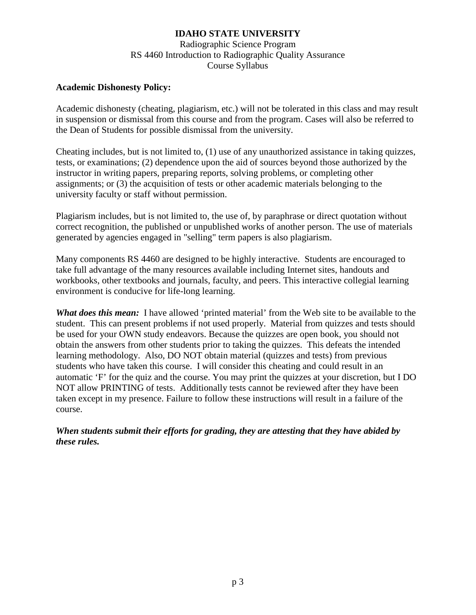Radiographic Science Program RS 4460 Introduction to Radiographic Quality Assurance Course Syllabus

#### **Academic Dishonesty Policy:**

Academic dishonesty (cheating, plagiarism, etc.) will not be tolerated in this class and may result in suspension or dismissal from this course and from the program. Cases will also be referred to the Dean of Students for possible dismissal from the university.

Cheating includes, but is not limited to, (1) use of any unauthorized assistance in taking quizzes, tests, or examinations; (2) dependence upon the aid of sources beyond those authorized by the instructor in writing papers, preparing reports, solving problems, or completing other assignments; or (3) the acquisition of tests or other academic materials belonging to the university faculty or staff without permission.

Plagiarism includes, but is not limited to, the use of, by paraphrase or direct quotation without correct recognition, the published or unpublished works of another person. The use of materials generated by agencies engaged in "selling" term papers is also plagiarism.

Many components RS 4460 are designed to be highly interactive. Students are encouraged to take full advantage of the many resources available including Internet sites, handouts and workbooks, other textbooks and journals, faculty, and peers. This interactive collegial learning environment is conducive for life-long learning.

*What does this mean:* I have allowed 'printed material' from the Web site to be available to the student. This can present problems if not used properly. Material from quizzes and tests should be used for your OWN study endeavors. Because the quizzes are open book, you should not obtain the answers from other students prior to taking the quizzes. This defeats the intended learning methodology. Also, DO NOT obtain material (quizzes and tests) from previous students who have taken this course. I will consider this cheating and could result in an automatic 'F' for the quiz and the course. You may print the quizzes at your discretion, but I DO NOT allow PRINTING of tests. Additionally tests cannot be reviewed after they have been taken except in my presence. Failure to follow these instructions will result in a failure of the course.

*When students submit their efforts for grading, they are attesting that they have abided by these rules.*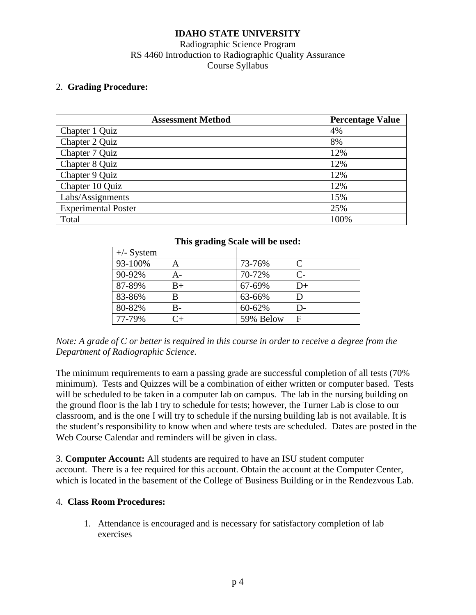## Radiographic Science Program RS 4460 Introduction to Radiographic Quality Assurance Course Syllabus

#### 2. **Grading Procedure:**

| <b>Assessment Method</b>   | <b>Percentage Value</b> |
|----------------------------|-------------------------|
| Chapter 1 Quiz             | 4%                      |
| Chapter 2 Quiz             | 8%                      |
| Chapter 7 Quiz             | 12%                     |
| Chapter 8 Quiz             | 12%                     |
| Chapter 9 Quiz             | 12%                     |
| Chapter 10 Quiz            | 12%                     |
| Labs/Assignments           | 15%                     |
| <b>Experimental Poster</b> | 25%                     |
| Total                      | 100%                    |

| This grading Scale will be used: |                    |           |                             |  |  |  |
|----------------------------------|--------------------|-----------|-----------------------------|--|--|--|
| $+/-$ System                     |                    |           |                             |  |  |  |
| 93-100%                          |                    | 73-76%    | $\mathcal{C}_{\mathcal{C}}$ |  |  |  |
| 90-92%                           | А-                 | 70-72%    | $C_{\tau}$                  |  |  |  |
| 87-89%                           | $B+$               | 67-69%    | $D+$                        |  |  |  |
| 83-86%                           | R                  | 63-66%    | D                           |  |  |  |
| 80-82%                           | В-                 | 60-62%    | D-                          |  |  |  |
| 77-79%                           | $^{\small \cap_+}$ | 59% Below | F                           |  |  |  |

### **This grading Scale will be used:**

*Note: A grade of C or better is required in this course in order to receive a degree from the Department of Radiographic Science.*

The minimum requirements to earn a passing grade are successful completion of all tests (70% minimum). Tests and Quizzes will be a combination of either written or computer based. Tests will be scheduled to be taken in a computer lab on campus. The lab in the nursing building on the ground floor is the lab I try to schedule for tests; however, the Turner Lab is close to our classroom, and is the one I will try to schedule if the nursing building lab is not available. It is the student's responsibility to know when and where tests are scheduled. Dates are posted in the Web Course Calendar and reminders will be given in class.

3. **Computer Account:** All students are required to have an ISU student computer account. There is a fee required for this account. Obtain the account at the Computer Center, which is located in the basement of the College of Business Building or in the Rendezvous Lab.

#### 4. **Class Room Procedures:**

1. Attendance is encouraged and is necessary for satisfactory completion of lab exercises